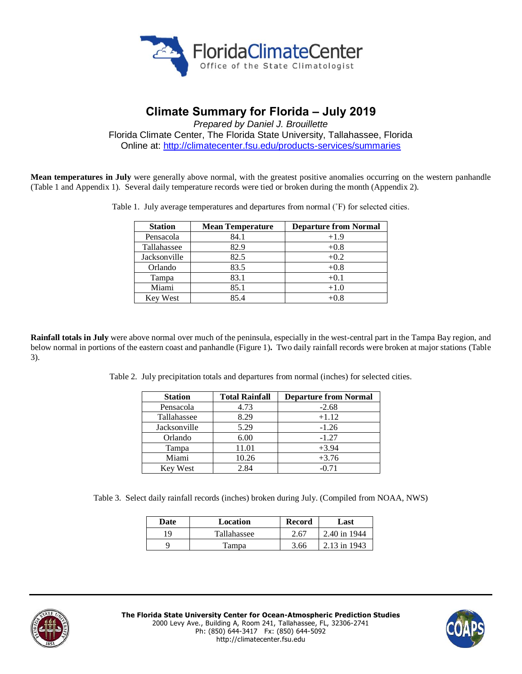

# **Climate Summary for Florida – July 2019**

*Prepared by Daniel J. Brouillette* Florida Climate Center, The Florida State University, Tallahassee, Florida

Online at:<http://climatecenter.fsu.edu/products-services/summaries>

**Mean temperatures in July** were generally above normal, with the greatest positive anomalies occurring on the western panhandle (Table 1 and Appendix 1). Several daily temperature records were tied or broken during the month (Appendix 2).

Table 1. July average temperatures and departures from normal (˚F) for selected cities.

| <b>Station</b> | <b>Mean Temperature</b> | <b>Departure from Normal</b> |
|----------------|-------------------------|------------------------------|
| Pensacola      | 84.1                    | $+1.9$                       |
| Tallahassee    | 82.9                    | $+0.8$                       |
| Jacksonville   | 82.5                    | $+0.2$                       |
| Orlando        | 83.5                    | $+0.8$                       |
| Tampa          | 83.1                    | $+0.1$                       |
| Miami          | 85.1                    | $+1.0$                       |
| Key West       | 85.4                    | $+0.8$                       |

**Rainfall totals in July** were above normal over much of the peninsula, especially in the west-central part in the Tampa Bay region, and below normal in portions of the eastern coast and panhandle (Figure 1)**.** Two daily rainfall records were broken at major stations (Table 3).

Table 2. July precipitation totals and departures from normal (inches) for selected cities.

| <b>Station</b>  | <b>Total Rainfall</b> | <b>Departure from Normal</b> |
|-----------------|-----------------------|------------------------------|
| Pensacola       | 4.73                  | $-2.68$                      |
| Tallahassee     | 8.29                  | $+1.12$                      |
| Jacksonville    | 5.29                  | $-1.26$                      |
| Orlando         | 6.00                  | $-1.27$                      |
| Tampa           | 11.01                 | $+3.94$                      |
| Miami           | 10.26                 | $+3.76$                      |
| <b>Key West</b> | 2.84                  | $-0.71$                      |

Table 3. Select daily rainfall records (inches) broken during July. (Compiled from NOAA, NWS)

| Date | Location    | Record | Last         |  |
|------|-------------|--------|--------------|--|
| 19   | Tallahassee | 2.67   | 2.40 in 1944 |  |
|      | Tampa       | 3.66   | 2.13 in 1943 |  |



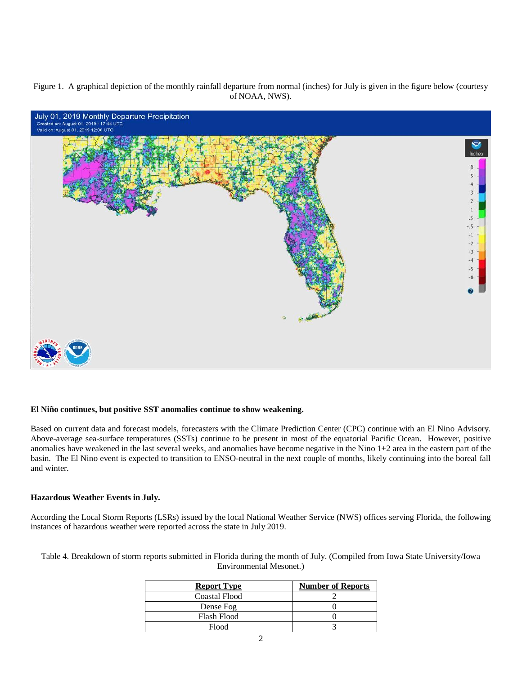Figure 1. A graphical depiction of the monthly rainfall departure from normal (inches) for July is given in the figure below (courtesy of NOAA, NWS).



#### **El Niño continues, but positive SST anomalies continue to show weakening.**

Based on current data and forecast models, forecasters with the Climate Prediction Center (CPC) continue with an El Nino Advisory. Above-average sea-surface temperatures (SSTs) continue to be present in most of the equatorial Pacific Ocean. However, positive anomalies have weakened in the last several weeks, and anomalies have become negative in the Nino 1+2 area in the eastern part of the basin. The El Nino event is expected to transition to ENSO-neutral in the next couple of months, likely continuing into the boreal fall and winter.

#### **Hazardous Weather Events in July.**

According the Local Storm Reports (LSRs) issued by the local National Weather Service (NWS) offices serving Florida, the following instances of hazardous weather were reported across the state in July 2019.

Table 4. Breakdown of storm reports submitted in Florida during the month of July. (Compiled from Iowa State University/Iowa Environmental Mesonet.)

| <b>Report Type</b> | <b>Number of Reports</b> |
|--------------------|--------------------------|
| Coastal Flood      |                          |
| Dense Fog          |                          |
| <b>Flash Flood</b> |                          |
| Flood              |                          |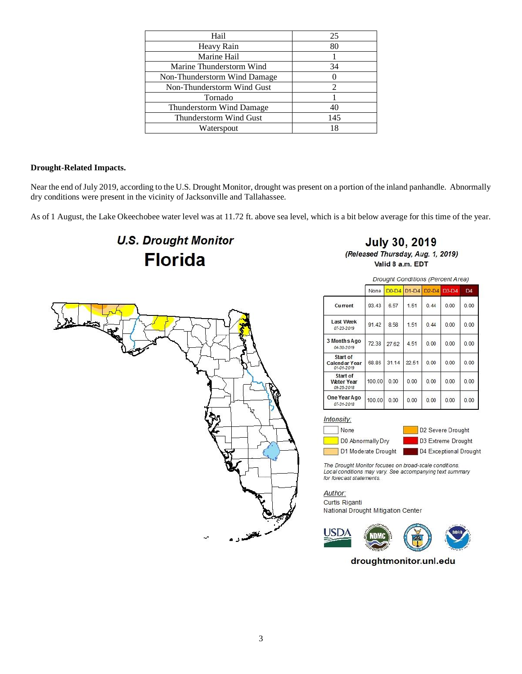| Hail                         | 25  |
|------------------------------|-----|
| Heavy Rain                   | 80  |
| Marine Hail                  |     |
| Marine Thunderstorm Wind     | 34  |
| Non-Thunderstorm Wind Damage |     |
| Non-Thunderstorm Wind Gust   |     |
| Tornado                      |     |
| Thunderstorm Wind Damage     | 40  |
| Thunderstorm Wind Gust       | 145 |
| Waterspout                   |     |

### **Drought-Related Impacts.**

Near the end of July 2019, according to the U.S. Drought Monitor, drought was present on a portion of the inland panhandle. Abnormally dry conditions were present in the vicinity of Jacksonville and Tallahassee.

As of 1 August, the Lake Okeechobee water level was at 11.72 ft. above sea level, which is a bit below average for this time of the year.

# **U.S. Drought Monitor Florida**

**July 30, 2019** (Released Thursday, Aug. 1, 2019) Valid 8 a.m. EDT



|                                             | <b>Drought Conditions (Percent Area)</b> |       |             |         |         |                |
|---------------------------------------------|------------------------------------------|-------|-------------|---------|---------|----------------|
|                                             | None                                     |       | D0-D4 D1-D4 | $D2-D4$ | $D3-D4$ | D <sub>4</sub> |
| Current                                     | 93.43                                    | 6.57  | 1.51        | 0.44    | 0.00    | 0.00           |
| <b>Last Week</b><br>07-23-2019              | 91.42                                    | 8.58  | 1.51        | 0.44    | 0.00    | 0.00           |
| 3 Months Ago<br>04-30-2019                  | 72.38                                    | 27.62 | 4.51        | 0.00    | 0.00    | 0.00           |
| Start of<br>Calendar Year<br>01-01-2019     | 68.86                                    | 31.14 | 22.51       | 0.00    | 0.00    | 0.00           |
| Start of<br><b>Water Year</b><br>09-25-2018 | 100.00                                   | 0.00  | 0.00        | 0.00    | 0.00    | 0.00           |
| One Year Ago<br>07-31-2018                  | 100.00                                   | 0.00  | 0.00        | 0.00    | 0.00    | 0.00           |

Intensity:

None D0 Abnormally Dry D2 Severe Drought D3 Extreme Drought

D4 Exceptional Drought

The Drought Monitor focuses on broad-scale conditions. Local conditions may vary. See accompanying text summary for forecast statements.

Author:

Curtis Riganti National Drought Mitigation Center

D1 Moderate Drought



droughtmonitor.unl.edu